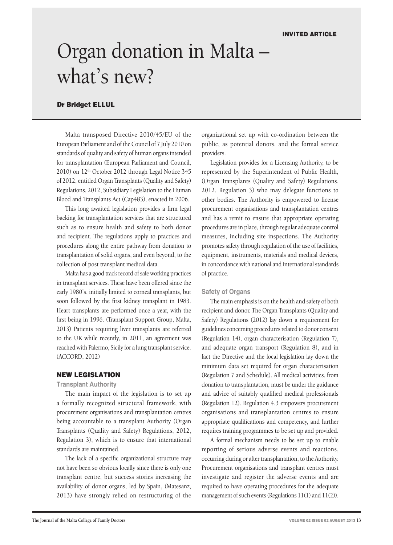# Organ donation in Malta – what's new?

# Dr Bridget ELLUL

Malta transposed Directive 2010/45/EU of the European Parliament and of the Council of 7 July 2010 on standards of quality and safety of human organs intended for transplantation (European Parliament and Council, 2010) on 12<sup>th</sup> October 2012 through Legal Notice 345 of 2012, entitled Organ Transplants (Quality and Safety) Regulations, 2012, Subsidiary Legislation to the Human Blood and Transplants Act (Cap483), enacted in 2006.

This long awaited legislation provides a firm legal backing for transplantation services that are structured such as to ensure health and safety to both donor and recipient. The regulations apply to practices and procedures along the entire pathway from donation to transplantation of solid organs, and even beyond, to the collection of post transplant medical data.

Malta has a good track record of safe working practices in transplant services. These have been offered since the early 1980's, initially limited to corneal transplants, but soon followed by the first kidney transplant in 1983. Heart transplants are performed once a year, with the first being in 1996. (Transplant Support Group, Malta, 2013) Patients requiring liver transplants are referred to the UK while recently, in 2011, an agreement was reached with Palermo, Sicily for a lung transplant service. (ACCORD, 2012)

#### New Legislation

#### **Transplant Authority**

The main impact of the legislation is to set up a formally recognized structural framework, with procurement organisations and transplantation centres being accountable to a transplant Authority (Organ Transplants (Quality and Safety) Regulations, 2012, Regulation 3), which is to ensure that international standards are maintained.

The lack of a specific organizational structure may not have been so obvious locally since there is only one transplant centre, but success stories increasing the availability of donor organs, led by Spain, (Matesanz, 2013) have strongly relied on restructuring of the organizational set up with co-ordination between the public, as potential donors, and the formal service providers.

Legislation provides for a Licensing Authority, to be represented by the Superintendent of Public Health, (Organ Transplants (Quality and Safety) Regulations, 2012, Regulation 3) who may delegate functions to other bodies. The Authority is empowered to license procurement organisations and transplantation centres and has a remit to ensure that appropriate operating procedures are in place, through regular adequate control measures, including site inspections. The Authority promotes safety through regulation of the use of facilities, equipment, instruments, materials and medical devices, in concordance with national and international standards of practice.

#### **Safety of Organs**

The main emphasis is on the health and safety of both recipient and donor. The Organ Transplants (Quality and Safety) Regulations (2012) lay down a requirement for guidelines concerning procedures related to donor consent (Regulation 14), organ characterisation (Regulation 7), and adequate organ transport (Regulation 8), and in fact the Directive and the local legislation lay down the minimum data set required for organ characterisation (Regulation 7 and Schedule). All medical activities, from donation to transplantation, must be under the guidance and advice of suitably qualified medical professionals (Regulation 12). Regulation 4.3 empowers procurement organisations and transplantation centres to ensure appropriate qualifications and competency, and further requires training programmes to be set up and provided.

A formal mechanism needs to be set up to enable reporting of serious adverse events and reactions, occurring during or after transplantation, to the Authority. Procurement organisations and transplant centres must investigate and register the adverse events and are required to have operating procedures for the adequate management of such events (Regulations 11(1) and 11(2)).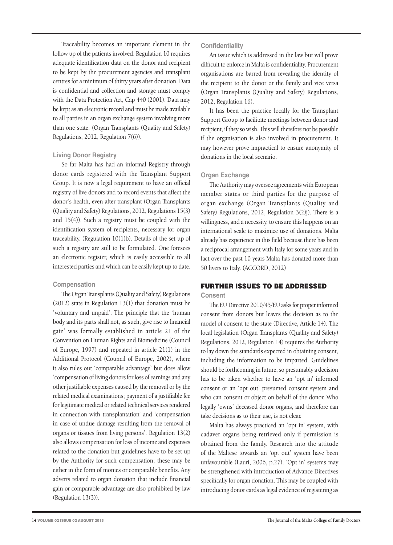Traceability becomes an important element in the follow up of the patients involved. Regulation 10 requires adequate identification data on the donor and recipient to be kept by the procurement agencies and transplant centres for a minimum of thirty years after donation. Data is confidential and collection and storage must comply with the Data Protection Act, Cap 440 (2001). Data may be kept as an electronic record and must be made available to all parties in an organ exchange system involving more than one state. (Organ Transplants (Quality and Safety) Regulations, 2012, Regulation 7(6)).

### **Living Donor Registry**

So far Malta has had an informal Registry through donor cards registered with the Transplant Support Group. It is now a legal requirement to have an official registry of live donors and to record events that affect the donor's health, even after transplant (Organ Transplants (Quality and Safety) Regulations, 2012, Regulations 15(3) and 15(4)). Such a registry must be coupled with the identification system of recipients, necessary for organ traceability. (Regulation 10(1)b). Details of the set up of such a registry are still to be formulated. One foresees an electronic register, which is easily accessible to all interested parties and which can be easily kept up to date.

## **Compensation**

The Organ Transplants (Quality and Safety) Regulations (2012) state in Regulation 13(1) that donation must be 'voluntary and unpaid'. The principle that the 'human body and its parts shall not, as such, give rise to financial gain' was formally established in article 21 of the Convention on Human Rights and Biomedicine (Council of Europe, 1997) and repeated in article 21(1) in the Additional Protocol (Council of Europe, 2002), where it also rules out 'comparable advantage' but does allow 'compensation of living donors for loss of earnings and any other justifiable expenses caused by the removal or by the related medical examinations; payment of a justifiable fee for legitimate medical or related technical services rendered in connection with transplantation' and 'compensation in case of undue damage resulting from the removal of organs or tissues from living persons'. Regulation 13(2) also allows compensation for loss of income and expenses related to the donation but guidelines have to be set up by the Authority for such compensation; these may be either in the form of monies or comparable benefits. Any adverts related to organ donation that include financial gain or comparable advantage are also prohibited by law (Regulation 13(3)).

## **Confidentiality**

An issue which is addressed in the law but will prove difficult to enforce in Malta is confidentiality. Procurement organisations are barred from revealing the identity of the recipient to the donor or the family and vice versa (Organ Transplants (Quality and Safety) Regulations, 2012, Regulation 16).

It has been the practice locally for the Transplant Support Group to facilitate meetings between donor and recipient, if they so wish. This will therefore not be possible if the organisation is also involved in procurement. It may however prove impractical to ensure anonymity of donations in the local scenario.

# **Organ Exchange**

The Authority may oversee agreements with European member states or third parties for the purpose of organ exchange (Organ Transplants (Quality and Safety) Regulations, 2012, Regulation 3(2)j). There is a willingness, and a necessity, to ensure this happens on an international scale to maximize use of donations. Malta already has experience in this field because there has been a reciprocal arrangement with Italy for some years and in fact over the past 10 years Malta has donated more than 50 livers to Italy. (ACCORD, 2012)

# Further Issues to be Addressed

**Consent**

The EU Directive 2010/45/EU asks for proper informed consent from donors but leaves the decision as to the model of consent to the state (Directive, Article 14). The local legislation (Organ Transplants (Quality and Safety) Regulations, 2012, Regulation 14) requires the Authority to lay down the standards expected in obtaining consent, including the information to be imparted. Guidelines should be forthcoming in future, so presumably a decision has to be taken whether to have an 'opt in' informed consent or an 'opt out' presumed consent system and who can consent or object on behalf of the donor. Who legally 'owns' deceased donor organs, and therefore can take decisions as to their use, is not clear.

Malta has always practiced an 'opt in' system, with cadaver organs being retrieved only if permission is obtained from the family. Research into the attitude of the Maltese towards an 'opt out' system have been unfavourable (Lauri, 2006, p.27). 'Opt in' systems may be strengthened with introduction of Advance Directives specifically for organ donation. This may be coupled with introducing donor cards as legal evidence of registering as